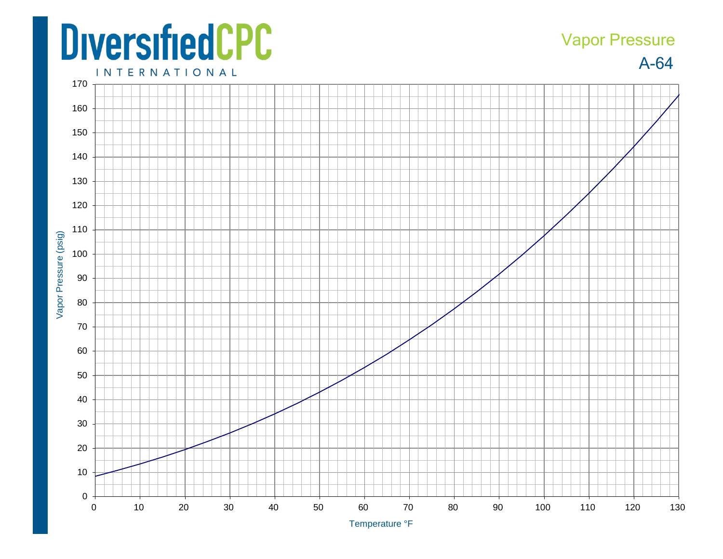## **DiversifiedCPC**

## A-64 Vapor Pressure

**INTERNATIONAL**